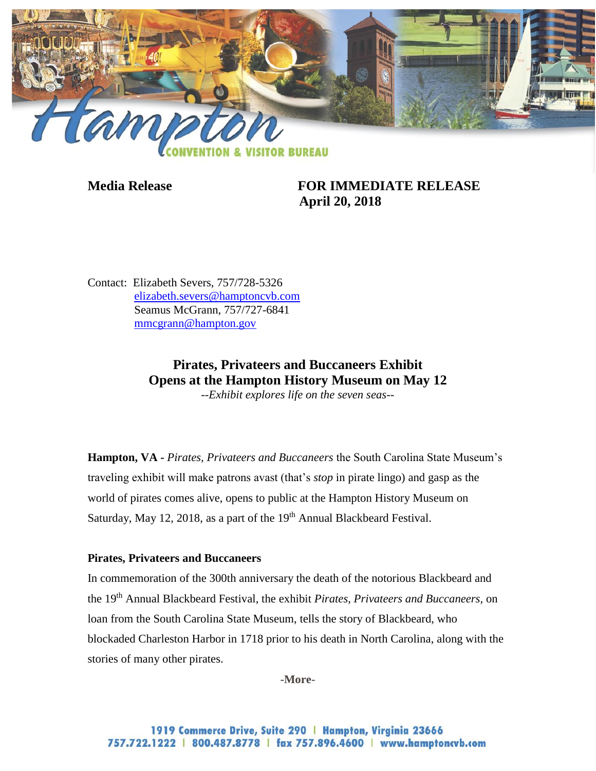

**Media Release FOR IMMEDIATE RELEASE April 20, 2018**

Contact: Elizabeth Severs, 757/728-5326 [elizabeth.severs@hamptoncvb.com](mailto:elizabeth.severs@hamptoncvb.com) Seamus McGrann, 757/727-6841 [mmcgrann@hampton.gov](mailto:mmcgrann@hampton.gov)

# **Pirates, Privateers and Buccaneers Exhibit Opens at the Hampton History Museum on May 12**

*--Exhibit explores life on the seven seas--*

**Hampton, VA -** *Pirates, Privateers and Buccaneers* the South Carolina State Museum's traveling exhibit will make patrons avast (that's *stop* in pirate lingo) and gasp as the world of pirates comes alive, opens to public at the Hampton History Museum on Saturday, May 12, 2018, as a part of the 19<sup>th</sup> Annual Blackbeard Festival.

#### **Pirates, Privateers and Buccaneers**

In commemoration of the 300th anniversary the death of the notorious Blackbeard and the 19th Annual Blackbeard Festival, the exhibit *Pirates, Privateers and Buccaneers,* on loan from the South Carolina State Museum, tells the story of Blackbeard, who blockaded Charleston Harbor in 1718 prior to his death in North Carolina, along with the stories of many other pirates.

**-More-**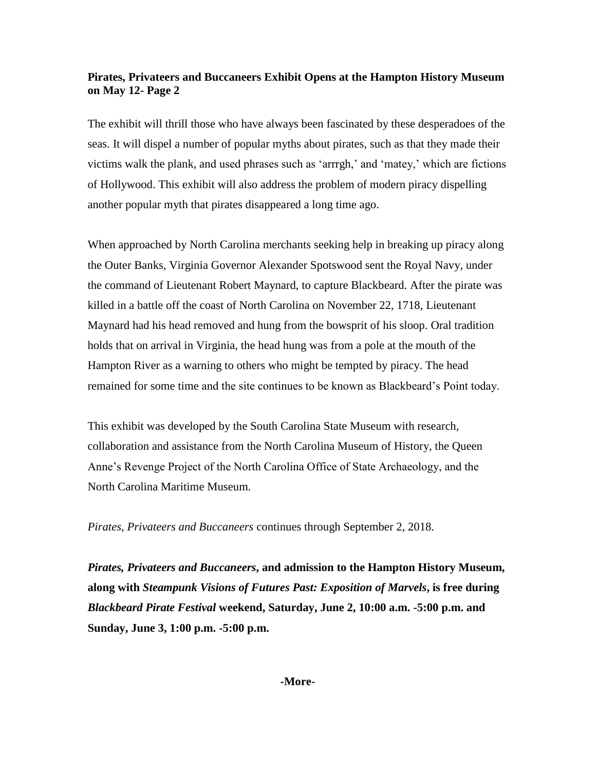## **Pirates, Privateers and Buccaneers Exhibit Opens at the Hampton History Museum on May 12- Page 2**

The exhibit will thrill those who have always been fascinated by these desperadoes of the seas. It will dispel a number of popular myths about pirates, such as that they made their victims walk the plank, and used phrases such as 'arrrgh,' and 'matey,' which are fictions of Hollywood. This exhibit will also address the problem of modern piracy dispelling another popular myth that pirates disappeared a long time ago.

When approached by North Carolina merchants seeking help in breaking up piracy along the Outer Banks, Virginia Governor Alexander Spotswood sent the Royal Navy, under the command of Lieutenant Robert Maynard, to capture Blackbeard. After the pirate was killed in a battle off the coast of North Carolina on November 22, 1718, Lieutenant Maynard had his head removed and hung from the bowsprit of his sloop. Oral tradition holds that on arrival in Virginia, the head hung was from a pole at the mouth of the Hampton River as a warning to others who might be tempted by piracy. The head remained for some time and the site continues to be known as Blackbeard's Point today.

This exhibit was developed by the South Carolina State Museum with research, collaboration and assistance from the North Carolina Museum of History, the Queen Anne's Revenge Project of the North Carolina Office of State Archaeology, and the North Carolina Maritime Museum.

*Pirates, Privateers and Buccaneers* continues through September 2, 2018.

*Pirates, Privateers and Buccaneers***, and admission to the Hampton History Museum, along with** *Steampunk Visions of Futures Past: Exposition of Marvels***, is free during**  *Blackbeard Pirate Festival* **weekend, Saturday, June 2, 10:00 a.m. -5:00 p.m. and Sunday, June 3, 1:00 p.m. -5:00 p.m.**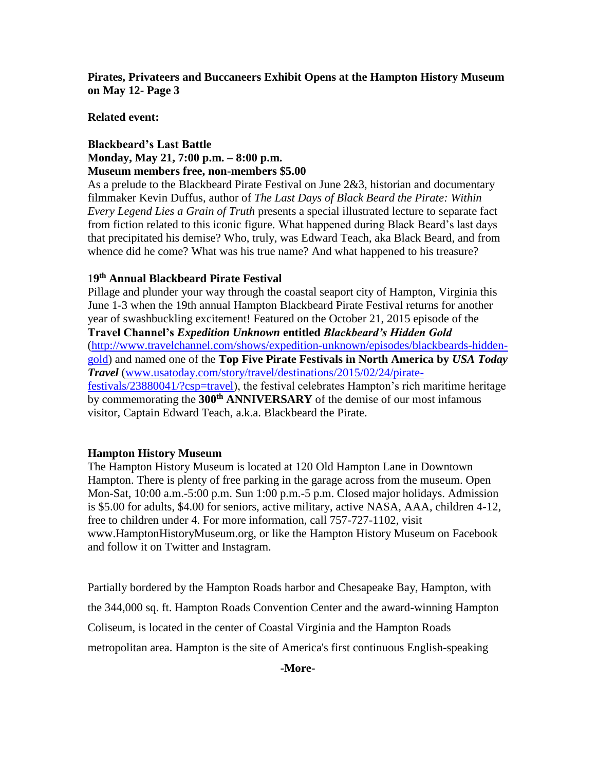**Pirates, Privateers and Buccaneers Exhibit Opens at the Hampton History Museum on May 12- Page 3**

#### **Related event:**

### **Blackbeard's Last Battle Monday, May 21, 7:00 p.m. – 8:00 p.m. Museum members free, non-members \$5.00**

As a prelude to the Blackbeard Pirate Festival on June 2&3, historian and documentary filmmaker Kevin Duffus, author of *The Last Days of Black Beard the Pirate: Within Every Legend Lies a Grain of Truth* presents a special illustrated lecture to separate fact from fiction related to this iconic figure. What happened during Black Beard's last days that precipitated his demise? Who, truly, was Edward Teach, aka Black Beard, and from whence did he come? What was his true name? And what happened to his treasure?

### 1**9 th Annual Blackbeard Pirate Festival**

Pillage and plunder your way through the coastal seaport city of Hampton, Virginia this June 1-3 when the 19th annual Hampton Blackbeard Pirate Festival returns for another year of swashbuckling excitement! Featured on the October 21, 2015 episode of the **Travel Channel's** *Expedition Unknown* **entitled** *Blackbeard's Hidden Gold* [\(http://www.travelchannel.com/shows/expedition-unknown/episodes/blackbeards-hidden](http://www.travelchannel.com/shows/expedition-unknown/episodes/blackbeards-hidden-gold)[gold\)](http://www.travelchannel.com/shows/expedition-unknown/episodes/blackbeards-hidden-gold) and named one of the **Top Five Pirate Festivals in North America by** *USA Today Travel* [\(www.usatoday.com/story/travel/destinations/2015/02/24/pirate](http://www.usatoday.com/story/travel/destinations/2015/02/24/pirate-festivals/23880041/?csp=travel)[festivals/23880041/?csp=travel\)](http://www.usatoday.com/story/travel/destinations/2015/02/24/pirate-festivals/23880041/?csp=travel), the festival celebrates Hampton's rich maritime heritage by commemorating the **300th ANNIVERSARY** of the demise of our most infamous visitor, Captain Edward Teach, a.k.a. Blackbeard the Pirate.

#### **Hampton History Museum**

The Hampton History Museum is located at 120 Old Hampton Lane in Downtown Hampton. There is plenty of free parking in the garage across from the museum. Open Mon-Sat, 10:00 a.m.-5:00 p.m. Sun 1:00 p.m.-5 p.m. Closed major holidays. Admission is \$5.00 for adults, \$4.00 for seniors, active military, active NASA, AAA, children 4-12, free to children under 4. For more information, call 757-727-1102, visit www.HamptonHistoryMuseum.org, or like the Hampton History Museum on Facebook and follow it on Twitter and Instagram.

Partially bordered by the Hampton Roads harbor and Chesapeake Bay, Hampton, with the 344,000 sq. ft. Hampton Roads Convention Center and the award-winning Hampton Coliseum, is located in the center of Coastal Virginia and the Hampton Roads metropolitan area. Hampton is the site of America's first continuous English-speaking

**-More-**